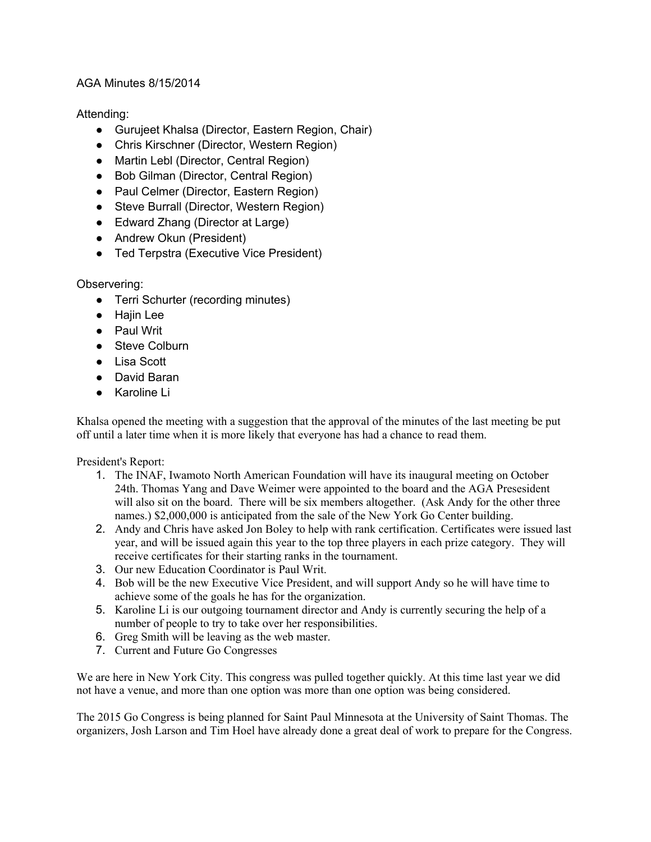## AGA Minutes 8/15/2014

# Attending:

- Gurujeet Khalsa (Director, Eastern Region, Chair)
- Chris Kirschner (Director, Western Region)
- Martin Lebl (Director, Central Region)
- Bob Gilman (Director, Central Region)
- Paul Celmer (Director, Eastern Region)
- Steve Burrall (Director, Western Region)
- Edward Zhang (Director at Large)
- Andrew Okun (President)
- Ted Terpstra (Executive Vice President)

## Observering:

- Terri Schurter (recording minutes)
- Hajin Lee
- Paul Writ
- Steve Colburn
- Lisa Scott
- David Baran
- Karoline Li

Khalsa opened the meeting with a suggestion that the approval of the minutes of the last meeting be put off until a later time when it is more likely that everyone has had a chance to read them.

## President's Report:

- 1. The INAF, Iwamoto North American Foundation will have its inaugural meeting on October 24th. Thomas Yang and Dave Weimer were appointed to the board and the AGA Presesident will also sit on the board. There will be six members altogether. (Ask Andy for the other three names.) \$2,000,000 is anticipated from the sale of the New York Go Center building.
- 2. Andy and Chris have asked Jon Boley to help with rank certification. Certificates were issued last year, and will be issued again this year to the top three players in each prize category. They will receive certificates for their starting ranks in the tournament.
- 3. Our new Education Coordinator is Paul Writ.
- 4. Bob will be the new Executive Vice President, and will support Andy so he will have time to achieve some of the goals he has for the organization.
- 5. Karoline Li is our outgoing tournament director and Andy is currently securing the help of a number of people to try to take over her responsibilities.
- 6. Greg Smith will be leaving as the web master.
- 7. Current and Future Go Congresses

We are here in New York City. This congress was pulled together quickly. At this time last year we did not have a venue, and more than one option was more than one option was being considered.

The 2015 Go Congress is being planned for Saint Paul Minnesota at the University of Saint Thomas. The organizers, Josh Larson and Tim Hoel have already done a great deal of work to prepare for the Congress.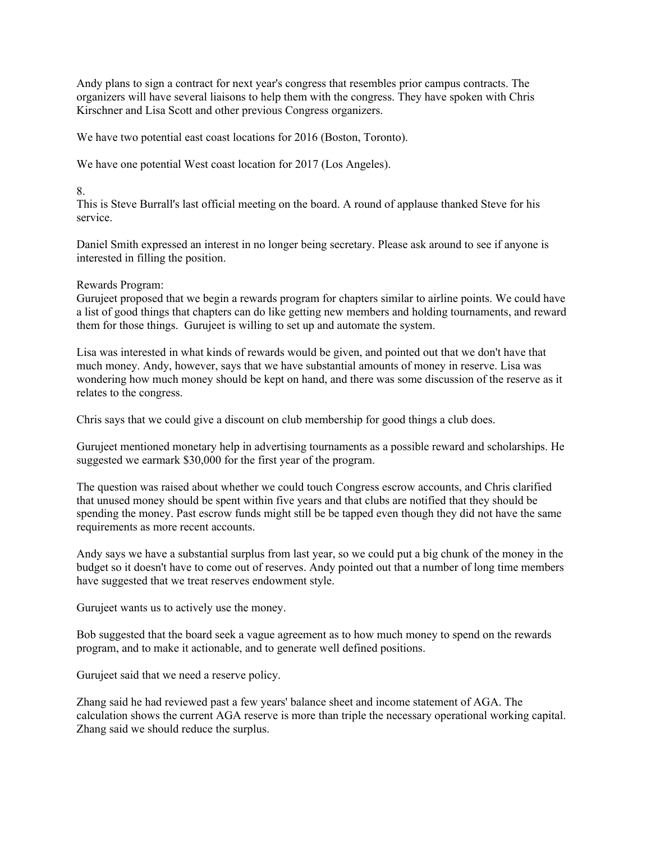Andy plans to sign a contract for next year's congress that resembles prior campus contracts. The organizers will have several liaisons to help them with the congress. They have spoken with Chris Kirschner and Lisa Scott and other previous Congress organizers.

We have two potential east coast locations for 2016 (Boston, Toronto).

We have one potential West coast location for 2017 (Los Angeles).

#### 8.

This is Steve Burrall's last official meeting on the board. A round of applause thanked Steve for his service.

Daniel Smith expressed an interest in no longer being secretary. Please ask around to see if anyone is interested in filling the position.

#### Rewards Program:

Gurujeet proposed that we begin a rewards program for chapters similar to airline points. We could have a list of good things that chapters can do like getting new members and holding tournaments, and reward them for those things. Gurujeet is willing to set up and automate the system.

Lisa was interested in what kinds of rewards would be given, and pointed out that we don't have that much money. Andy, however, says that we have substantial amounts of money in reserve. Lisa was wondering how much money should be kept on hand, and there was some discussion of the reserve as it relates to the congress.

Chris says that we could give a discount on club membership for good things a club does.

Gurujeet mentioned monetary help in advertising tournaments as a possible reward and scholarships. He suggested we earmark \$30,000 for the first year of the program.

The question was raised about whether we could touch Congress escrow accounts, and Chris clarified that unused money should be spent within five years and that clubs are notified that they should be spending the money. Past escrow funds might still be be tapped even though they did not have the same requirements as more recent accounts.

Andy says we have a substantial surplus from last year, so we could put a big chunk of the money in the budget so it doesn't have to come out of reserves. Andy pointed out that a number of long time members have suggested that we treat reserves endowment style.

Gurujeet wants us to actively use the money.

Bob suggested that the board seek a vague agreement as to how much money to spend on the rewards program, and to make it actionable, and to generate well defined positions.

Gurujeet said that we need a reserve policy.

Zhang said he had reviewed past a few years' balance sheet and income statement of AGA. The calculation shows the current AGA reserve is more than triple the necessary operational working capital. Zhang said we should reduce the surplus.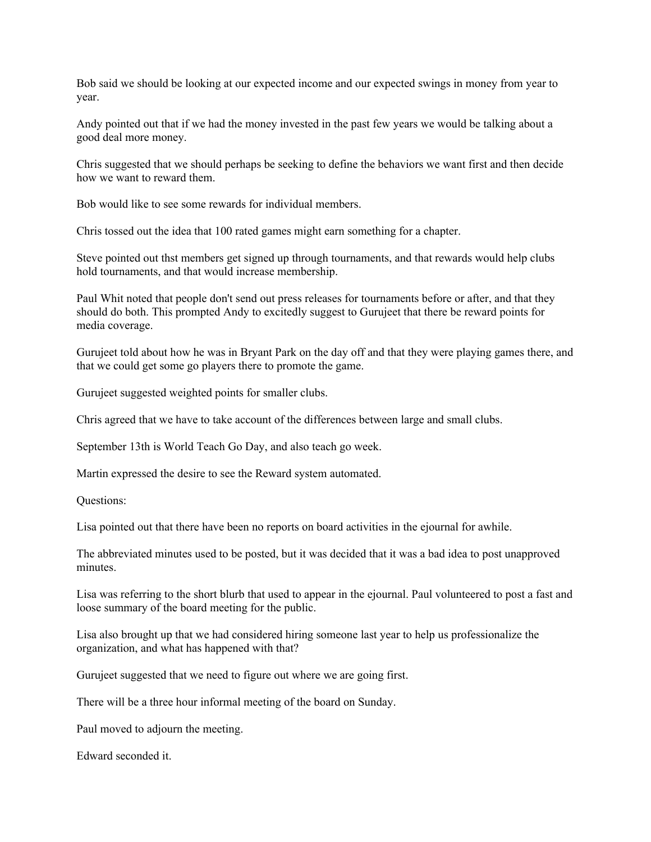Bob said we should be looking at our expected income and our expected swings in money from year to year.

Andy pointed out that if we had the money invested in the past few years we would be talking about a good deal more money.

Chris suggested that we should perhaps be seeking to define the behaviors we want first and then decide how we want to reward them.

Bob would like to see some rewards for individual members.

Chris tossed out the idea that 100 rated games might earn something for a chapter.

Steve pointed out thst members get signed up through tournaments, and that rewards would help clubs hold tournaments, and that would increase membership.

Paul Whit noted that people don't send out press releases for tournaments before or after, and that they should do both. This prompted Andy to excitedly suggest to Gurujeet that there be reward points for media coverage.

Gurujeet told about how he was in Bryant Park on the day off and that they were playing games there, and that we could get some go players there to promote the game.

Gurujeet suggested weighted points for smaller clubs.

Chris agreed that we have to take account of the differences between large and small clubs.

September 13th is World Teach Go Day, and also teach go week.

Martin expressed the desire to see the Reward system automated.

Questions:

Lisa pointed out that there have been no reports on board activities in the ejournal for awhile.

The abbreviated minutes used to be posted, but it was decided that it was a bad idea to post unapproved minutes.

Lisa was referring to the short blurb that used to appear in the ejournal. Paul volunteered to post a fast and loose summary of the board meeting for the public.

Lisa also brought up that we had considered hiring someone last year to help us professionalize the organization, and what has happened with that?

Gurujeet suggested that we need to figure out where we are going first.

There will be a three hour informal meeting of the board on Sunday.

Paul moved to adjourn the meeting.

Edward seconded it.